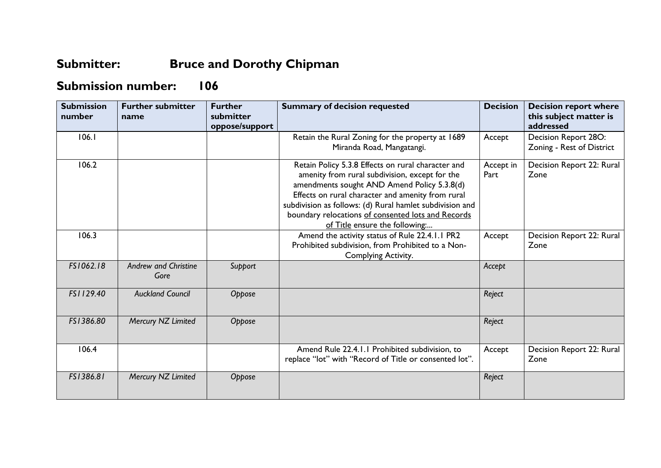## **Submitter: Bruce and Dorothy Chipman**

## **Submission number: 106**

| <b>Submission</b><br>number | <b>Further submitter</b><br>name    | <b>Further</b><br>submitter<br>oppose/support | <b>Summary of decision requested</b>                                                                                                                                                                                                                                                                                                                         | <b>Decision</b>   | <b>Decision report where</b><br>this subject matter is<br>addressed |
|-----------------------------|-------------------------------------|-----------------------------------------------|--------------------------------------------------------------------------------------------------------------------------------------------------------------------------------------------------------------------------------------------------------------------------------------------------------------------------------------------------------------|-------------------|---------------------------------------------------------------------|
| 106.1                       |                                     |                                               | Retain the Rural Zoning for the property at 1689<br>Miranda Road, Mangatangi.                                                                                                                                                                                                                                                                                | Accept            | Decision Report 28O:<br>Zoning - Rest of District                   |
| 106.2                       |                                     |                                               | Retain Policy 5.3.8 Effects on rural character and<br>amenity from rural subdivision, except for the<br>amendments sought AND Amend Policy 5.3.8(d)<br>Effects on rural character and amenity from rural<br>subdivision as follows: (d) Rural hamlet subdivision and<br>boundary relocations of consented lots and Records<br>of Title ensure the following: | Accept in<br>Part | Decision Report 22: Rural<br>Zone                                   |
| 106.3                       |                                     |                                               | Amend the activity status of Rule 22.4.1.1 PR2<br>Prohibited subdivision, from Prohibited to a Non-<br>Complying Activity.                                                                                                                                                                                                                                   | Accept            | Decision Report 22: Rural<br>Zone                                   |
| FS1062.18                   | <b>Andrew and Christine</b><br>Gore | Support                                       |                                                                                                                                                                                                                                                                                                                                                              | Accept            |                                                                     |
| FS1129.40                   | <b>Auckland Council</b>             | Oppose                                        |                                                                                                                                                                                                                                                                                                                                                              | Reject            |                                                                     |
| FS1386.80                   | Mercury NZ Limited                  | Oppose                                        |                                                                                                                                                                                                                                                                                                                                                              | Reject            |                                                                     |
| 106.4                       |                                     |                                               | Amend Rule 22.4.1.1 Prohibited subdivision, to<br>replace "lot" with "Record of Title or consented lot".                                                                                                                                                                                                                                                     | Accept            | Decision Report 22: Rural<br>Zone                                   |
| FS1386.81                   | Mercury NZ Limited                  | Oppose                                        |                                                                                                                                                                                                                                                                                                                                                              | Reject            |                                                                     |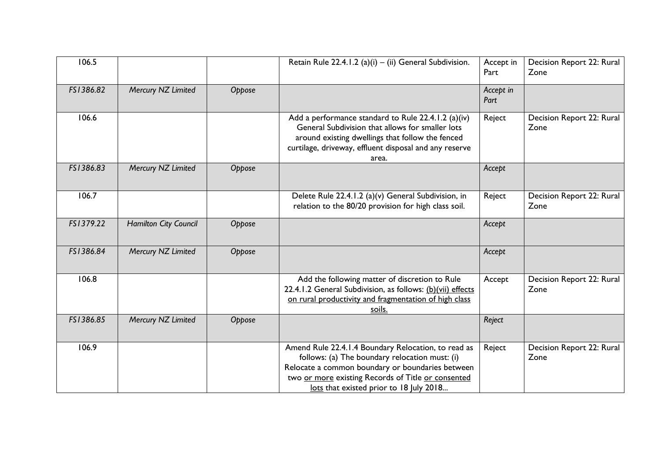| 106.5     |                              |        | Retain Rule 22.4.1.2 (a)(i) $-$ (ii) General Subdivision.                                                                                                                                                                                                  | Accept in<br>Part | Decision Report 22: Rural<br>Zone |
|-----------|------------------------------|--------|------------------------------------------------------------------------------------------------------------------------------------------------------------------------------------------------------------------------------------------------------------|-------------------|-----------------------------------|
| FS1386.82 | Mercury NZ Limited           | Oppose |                                                                                                                                                                                                                                                            | Accept in<br>Part |                                   |
| 106.6     |                              |        | Add a performance standard to Rule 22.4.1.2 (a)(iv)<br>General Subdivision that allows for smaller lots<br>around existing dwellings that follow the fenced<br>curtilage, driveway, effluent disposal and any reserve<br>area.                             | Reject            | Decision Report 22: Rural<br>Zone |
| FS1386.83 | Mercury NZ Limited           | Oppose |                                                                                                                                                                                                                                                            | Accept            |                                   |
| 106.7     |                              |        | Delete Rule 22.4.1.2 (a)(v) General Subdivision, in<br>relation to the 80/20 provision for high class soil.                                                                                                                                                | Reject            | Decision Report 22: Rural<br>Zone |
| FS1379.22 | <b>Hamilton City Council</b> | Oppose |                                                                                                                                                                                                                                                            | Accept            |                                   |
| FS1386.84 | Mercury NZ Limited           | Oppose |                                                                                                                                                                                                                                                            | Accept            |                                   |
| 106.8     |                              |        | Add the following matter of discretion to Rule<br>22.4.1.2 General Subdivision, as follows: (b)(vii) effects<br>on rural productivity and fragmentation of high class<br><u>soils.</u>                                                                     | Accept            | Decision Report 22: Rural<br>Zone |
| FS1386.85 | Mercury NZ Limited           | Oppose |                                                                                                                                                                                                                                                            | Reject            |                                   |
| 106.9     |                              |        | Amend Rule 22.4.1.4 Boundary Relocation, to read as<br>follows: (a) The boundary relocation must: (i)<br>Relocate a common boundary or boundaries between<br>two or more existing Records of Title or consented<br>lots that existed prior to 18 July 2018 | Reject            | Decision Report 22: Rural<br>Zone |